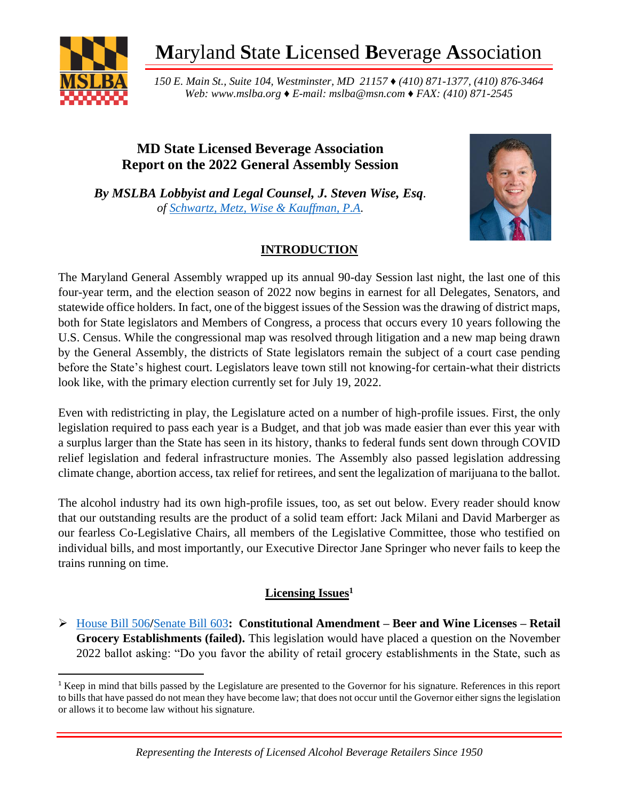

**M**aryland **S**tate **L**icensed **B**everage **A**ssociation

*150 E. Main St., Suite 104, Westminster, MD 21157 ♦ (410) 871-1377, (410) 876-3464 Web: www.mslba.org ♦ E-mail: mslba@msn.com ♦ FAX: (410) 871-2545*

# **MD State Licensed Beverage Association Report on the 2022 General Assembly Session**

*By MSLBA Lobbyist and Legal Counsel, J. Steven Wise, Esq. of [Schwartz, Metz, Wise & Kauffman, P.A.](http://smwpa.com/about-our-firm-smwpa-annapolis/)*



# **INTRODUCTION**

The Maryland General Assembly wrapped up its annual 90-day Session last night, the last one of this four-year term, and the election season of 2022 now begins in earnest for all Delegates, Senators, and statewide office holders. In fact, one of the biggest issues of the Session was the drawing of district maps, both for State legislators and Members of Congress, a process that occurs every 10 years following the U.S. Census. While the congressional map was resolved through litigation and a new map being drawn by the General Assembly, the districts of State legislators remain the subject of a court case pending before the State's highest court. Legislators leave town still not knowing-for certain-what their districts look like, with the primary election currently set for July 19, 2022.

Even with redistricting in play, the Legislature acted on a number of high-profile issues. First, the only legislation required to pass each year is a Budget, and that job was made easier than ever this year with a surplus larger than the State has seen in its history, thanks to federal funds sent down through COVID relief legislation and federal infrastructure monies. The Assembly also passed legislation addressing climate change, abortion access, tax relief for retirees, and sent the legalization of marijuana to the ballot.

The alcohol industry had its own high-profile issues, too, as set out below. Every reader should know that our outstanding results are the product of a solid team effort: Jack Milani and David Marberger as our fearless Co-Legislative Chairs, all members of the Legislative Committee, those who testified on individual bills, and most importantly, our Executive Director Jane Springer who never fails to keep the trains running on time.

# **Licensing Issues<sup>1</sup>**

➢ [House Bill 506](https://mgaleg.maryland.gov/mgawebsite/Legislation/Details/hb0506)**/**[Senate Bill 603](https://mgaleg.maryland.gov/mgawebsite/Legislation/Details/sb0603)**: Constitutional Amendment – Beer and Wine Licenses – Retail Grocery Establishments (failed).** This legislation would have placed a question on the November 2022 ballot asking: "Do you favor the ability of retail grocery establishments in the State, such as

<sup>1</sup> Keep in mind that bills passed by the Legislature are presented to the Governor for his signature. References in this report to bills that have passed do not mean they have become law; that does not occur until the Governor either signs the legislation or allows it to become law without his signature.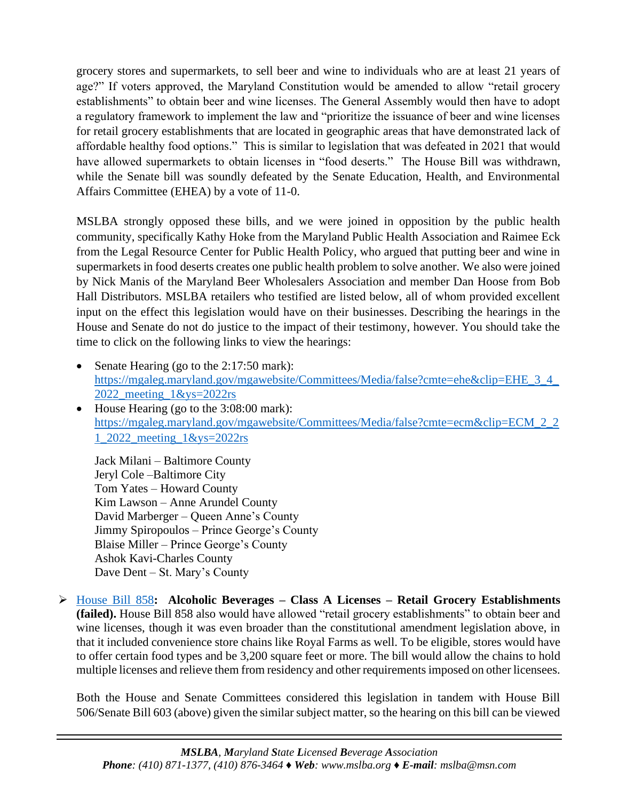grocery stores and supermarkets, to sell beer and wine to individuals who are at least 21 years of age?" If voters approved, the Maryland Constitution would be amended to allow "retail grocery establishments" to obtain beer and wine licenses. The General Assembly would then have to adopt a regulatory framework to implement the law and "prioritize the issuance of beer and wine licenses for retail grocery establishments that are located in geographic areas that have demonstrated lack of affordable healthy food options." This is similar to legislation that was defeated in 2021 that would have allowed supermarkets to obtain licenses in "food deserts." The House Bill was withdrawn, while the Senate bill was soundly defeated by the Senate Education, Health, and Environmental Affairs Committee (EHEA) by a vote of 11-0.

MSLBA strongly opposed these bills, and we were joined in opposition by the public health community, specifically Kathy Hoke from the Maryland Public Health Association and Raimee Eck from the Legal Resource Center for Public Health Policy, who argued that putting beer and wine in supermarkets in food deserts creates one public health problem to solve another. We also were joined by Nick Manis of the Maryland Beer Wholesalers Association and member Dan Hoose from Bob Hall Distributors. MSLBA retailers who testified are listed below, all of whom provided excellent input on the effect this legislation would have on their businesses. Describing the hearings in the House and Senate do not do justice to the impact of their testimony, however. You should take the time to click on the following links to view the hearings:

- Senate Hearing (go to the 2:17:50 mark): [https://mgaleg.maryland.gov/mgawebsite/Committees/Media/false?cmte=ehe&clip=EHE\\_3\\_4\\_](https://mgaleg.maryland.gov/mgawebsite/Committees/Media/false?cmte=ehe&clip=EHE_3_4_2022_meeting_1&ys=2022rs) [2022\\_meeting\\_1&ys=2022rs](https://mgaleg.maryland.gov/mgawebsite/Committees/Media/false?cmte=ehe&clip=EHE_3_4_2022_meeting_1&ys=2022rs)
- House Hearing (go to the 3:08:00 mark): [https://mgaleg.maryland.gov/mgawebsite/Committees/Media/false?cmte=ecm&clip=ECM\\_2\\_2](https://mgaleg.maryland.gov/mgawebsite/Committees/Media/false?cmte=ecm&clip=ECM_2_21_2022_meeting_1&ys=2022rs) [1\\_2022\\_meeting\\_1&ys=2022rs](https://mgaleg.maryland.gov/mgawebsite/Committees/Media/false?cmte=ecm&clip=ECM_2_21_2022_meeting_1&ys=2022rs)

Jack Milani – Baltimore County Jeryl Cole –Baltimore City Tom Yates – Howard County Kim Lawson – Anne Arundel County David Marberger – Queen Anne's County Jimmy Spiropoulos – Prince George's County Blaise Miller – Prince George's County Ashok Kavi-Charles County Dave Dent – St. Mary's County

➢ [House Bill 858](https://mgaleg.maryland.gov/mgawebsite/Legislation/Details/hb0858)**: Alcoholic Beverages – Class A Licenses – Retail Grocery Establishments (failed).** House Bill 858 also would have allowed "retail grocery establishments" to obtain beer and wine licenses, though it was even broader than the constitutional amendment legislation above, in that it included convenience store chains like Royal Farms as well. To be eligible, stores would have to offer certain food types and be 3,200 square feet or more. The bill would allow the chains to hold multiple licenses and relieve them from residency and other requirements imposed on other licensees.

Both the House and Senate Committees considered this legislation in tandem with House Bill 506/Senate Bill 603 (above) given the similar subject matter, so the hearing on this bill can be viewed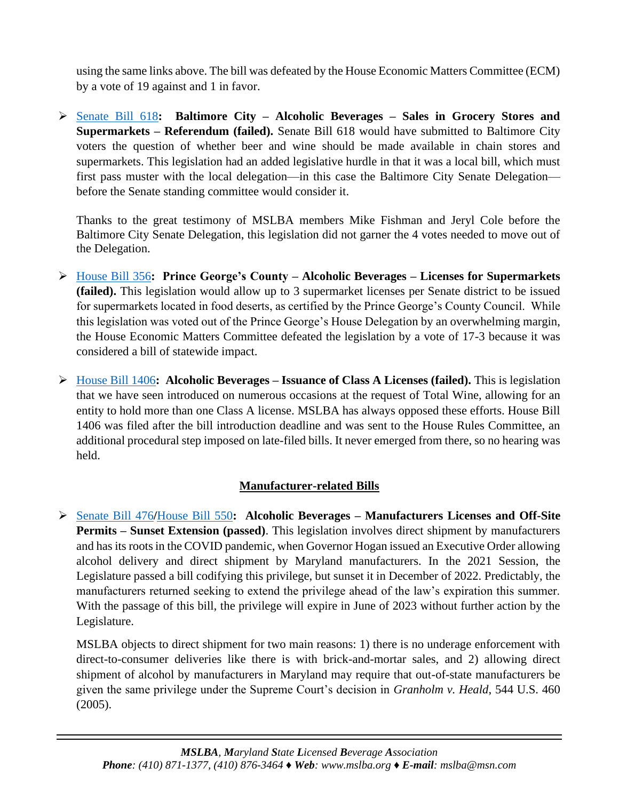using the same links above. The bill was defeated by the House Economic Matters Committee (ECM) by a vote of 19 against and 1 in favor.

➢ [Senate Bill 618](https://mgaleg.maryland.gov/mgawebsite/Legislation/Details/sb0618)**: Baltimore City – Alcoholic Beverages – Sales in Grocery Stores and Supermarkets – Referendum (failed).** Senate Bill 618 would have submitted to Baltimore City voters the question of whether beer and wine should be made available in chain stores and supermarkets. This legislation had an added legislative hurdle in that it was a local bill, which must first pass muster with the local delegation—in this case the Baltimore City Senate Delegation before the Senate standing committee would consider it.

Thanks to the great testimony of MSLBA members Mike Fishman and Jeryl Cole before the Baltimore City Senate Delegation, this legislation did not garner the 4 votes needed to move out of the Delegation.

- ➢ [House Bill 356](https://mgaleg.maryland.gov/mgawebsite/Legislation/Details/hb0356)**: Prince George's County – Alcoholic Beverages – Licenses for Supermarkets (failed).** This legislation would allow up to 3 supermarket licenses per Senate district to be issued for supermarkets located in food deserts, as certified by the Prince George's County Council. While this legislation was voted out of the Prince George's House Delegation by an overwhelming margin, the House Economic Matters Committee defeated the legislation by a vote of 17-3 because it was considered a bill of statewide impact.
- ➢ [House Bill 1406](https://mgaleg.maryland.gov/mgawebsite/Legislation/Details/hb1406)**: Alcoholic Beverages – Issuance of Class A Licenses (failed).** This is legislation that we have seen introduced on numerous occasions at the request of Total Wine, allowing for an entity to hold more than one Class A license. MSLBA has always opposed these efforts. House Bill 1406 was filed after the bill introduction deadline and was sent to the House Rules Committee, an additional procedural step imposed on late-filed bills. It never emerged from there, so no hearing was held.

# **Manufacturer-related Bills**

➢ [Senate Bill 476](https://mgaleg.maryland.gov/mgawebsite/Legislation/Details/sb0476)**/**[House Bill 550](https://mgaleg.maryland.gov/mgawebsite/Legislation/Details/hb0550)**: Alcoholic Beverages – Manufacturers Licenses and Off-Site Permits – Sunset Extension (passed)**. This legislation involves direct shipment by manufacturers and has its roots in the COVID pandemic, when Governor Hogan issued an Executive Order allowing alcohol delivery and direct shipment by Maryland manufacturers. In the 2021 Session, the Legislature passed a bill codifying this privilege, but sunset it in December of 2022. Predictably, the manufacturers returned seeking to extend the privilege ahead of the law's expiration this summer. With the passage of this bill, the privilege will expire in June of 2023 without further action by the Legislature.

MSLBA objects to direct shipment for two main reasons: 1) there is no underage enforcement with direct-to-consumer deliveries like there is with brick-and-mortar sales, and 2) allowing direct shipment of alcohol by manufacturers in Maryland may require that out-of-state manufacturers be given the same privilege under the Supreme Court's decision in *Granholm v. Heald*, 544 U.S. 460 (2005).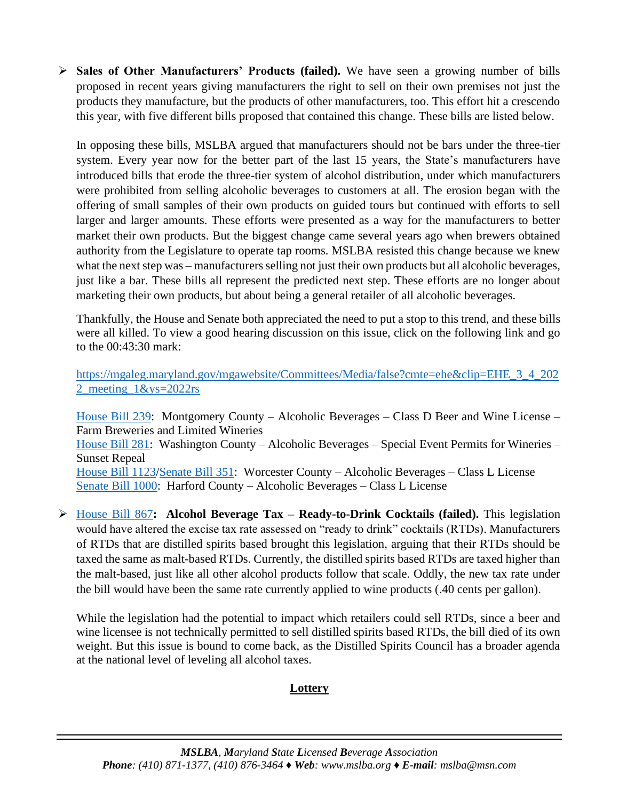➢ **Sales of Other Manufacturers' Products (failed).** We have seen a growing number of bills proposed in recent years giving manufacturers the right to sell on their own premises not just the products they manufacture, but the products of other manufacturers, too. This effort hit a crescendo this year, with five different bills proposed that contained this change. These bills are listed below.

In opposing these bills, MSLBA argued that manufacturers should not be bars under the three-tier system. Every year now for the better part of the last 15 years, the State's manufacturers have introduced bills that erode the three-tier system of alcohol distribution, under which manufacturers were prohibited from selling alcoholic beverages to customers at all. The erosion began with the offering of small samples of their own products on guided tours but continued with efforts to sell larger and larger amounts. These efforts were presented as a way for the manufacturers to better market their own products. But the biggest change came several years ago when brewers obtained authority from the Legislature to operate tap rooms. MSLBA resisted this change because we knew what the next step was – manufacturers selling not just their own products but all alcoholic beverages, just like a bar. These bills all represent the predicted next step. These efforts are no longer about marketing their own products, but about being a general retailer of all alcoholic beverages.

Thankfully, the House and Senate both appreciated the need to put a stop to this trend, and these bills were all killed. To view a good hearing discussion on this issue, click on the following link and go to the 00:43:30 mark:

[https://mgaleg.maryland.gov/mgawebsite/Committees/Media/false?cmte=ehe&clip=EHE\\_3\\_4\\_202](https://mgaleg.maryland.gov/mgawebsite/Committees/Media/false?cmte=ehe&clip=EHE_3_4_2022_meeting_1&ys=2022rs) [2\\_meeting\\_1&ys=2022rs](https://mgaleg.maryland.gov/mgawebsite/Committees/Media/false?cmte=ehe&clip=EHE_3_4_2022_meeting_1&ys=2022rs)

[House Bill 239:](https://mgaleg.maryland.gov/mgawebsite/Legislation/Details/hb0239) Montgomery County – Alcoholic Beverages – Class D Beer and Wine License – Farm Breweries and Limited Wineries [House Bill 281:](https://mgaleg.maryland.gov/mgawebsite/Legislation/Details/hb0281) Washington County – Alcoholic Beverages – Special Event Permits for Wineries – Sunset Repeal [House Bill 1123](https://mgaleg.maryland.gov/mgawebsite/Legislation/Details/hb1123)[/Senate Bill 351:](https://mgaleg.maryland.gov/mgawebsite/Legislation/Details/sb0351) Worcester County – Alcoholic Beverages – Class L License [Senate Bill 1000:](https://mgaleg.maryland.gov/mgawebsite/Legislation/Details/sb1000) Harford County – Alcoholic Beverages – Class L License

➢ [House Bill 867](https://mgaleg.maryland.gov/mgawebsite/Legislation/Details/hb0867)**: Alcohol Beverage Tax – Ready-to-Drink Cocktails (failed).** This legislation would have altered the excise tax rate assessed on "ready to drink" cocktails (RTDs). Manufacturers of RTDs that are distilled spirits based brought this legislation, arguing that their RTDs should be taxed the same as malt-based RTDs. Currently, the distilled spirits based RTDs are taxed higher than the malt-based, just like all other alcohol products follow that scale. Oddly, the new tax rate under the bill would have been the same rate currently applied to wine products (.40 cents per gallon).

While the legislation had the potential to impact which retailers could sell RTDs, since a beer and wine licensee is not technically permitted to sell distilled spirits based RTDs, the bill died of its own weight. But this issue is bound to come back, as the Distilled Spirits Council has a broader agenda at the national level of leveling all alcohol taxes.

#### **Lottery**